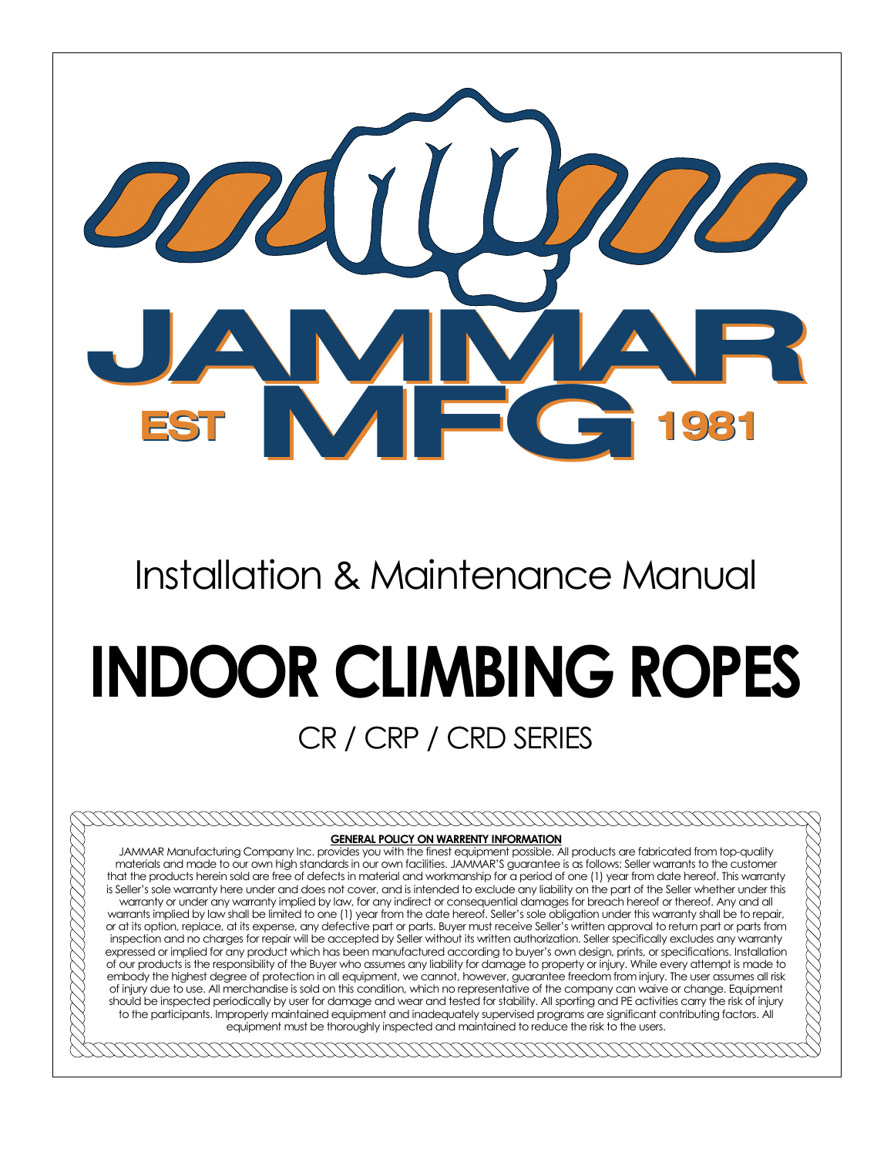

## Installation & Maintenance Manual

# **INDOOR CLIMBING ROPES**

### CR / CRP / CRD SERIES

#### **CONTROVERING GENERAL POLICY ON WARRENTY INFORMATION**

JAMMAR Manufacturing Company Inc. provides you with the finest equipment possible. All products are fabricated from top-quality materials and made to our own high standards in our own facilities. JAMMAR·S guarantee is as follows: Seller warrants to the customer that the products herein sold are free of defects in material and workmanship for a period of one (1) year from date hereof. This warranty is Seller·s sole warranty here under and does not cover, and is intended to exclude any liability on the part of the Seller whether under this warranty or under any warranty implied by law, for any indirect or consequential damages for breach hereof or thereof. Any and all warrants implied by law shall be limited to one (1) year from the date hereof. Seller's sole obligation under this warranty shall be to repair, or at its option, replace, at its expense, any defective part or parts. Buyer must receive Seller·s written approval to return part or parts from inspection and no charges for repair will be accepted by Seller without its written authorization. Seller specifically excludes any warranty expressed or implied for any product which has been manufactured according to buyer's own design, prints, or specifications. Installation of our products is the responsibility of the Buyer who assumes any liability for damage to property or injury. While every attempt is made to embody the highest degree of protection in all equipment, we cannot, however, guarantee freedom from injury. The user assumes all risk of injury due to use. All merchandise is sold on this condition, which no representative of the company can waive or change. Equipment should be inspected periodically by user for damage and wear and tested for stability. All sporting and PE activities carry the risk of injury to the participants. Improperly maintained equipment and inadequately supervised programs are significant contributing factors. All equipment must be thoroughly inspected and maintained to reduce the risk to the users.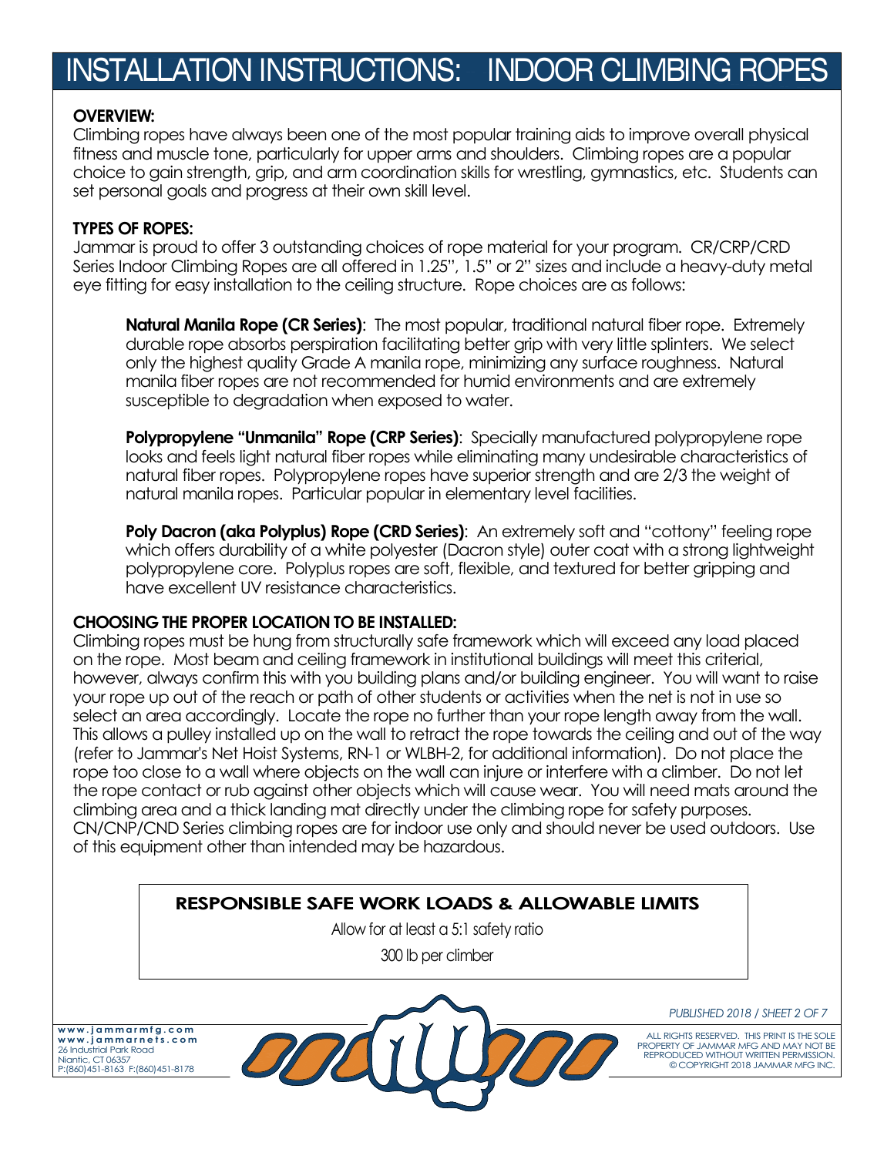#### **OVERVIEW:**

Climbing ropes have always been one of the most popular training aids to improve overall physical fitness and muscle tone, particularly for upper arms and shoulders. Climbing ropes are a popular choice to gain strength, grip, and arm coordination skills for wrestling, gymnastics, etc. Students can set personal goals and progress at their own skill level.

#### **TYPES OF ROPES:**

Jammar is proud to offer 3 outstanding choices of rope material for your program. CR/CRP/CRD Series Indoor Climbing Ropes are all offered in 1.25", 1.5" or 2" sizes and include a heavy-duty metal eye fitting for easy installation to the ceiling structure. Rope choices are as follows:

**Natural Manila Rope (CR Series)**: The most popular, traditional natural fiber rope. Extremely durable rope absorbs perspiration facilitating better grip with very little splinters. We select only the highest quality Grade A manila rope, minimizing any surface roughness. Natural manila fiber ropes are not recommended for humid environments and are extremely susceptible to degradation when exposed to water.

**Polypropylene "Unmanila" Rope (CRP Series):** Specially manufactured polypropylene rope looks and feels light natural fiber ropes while eliminating many undesirable characteristics of natural fiber ropes. Polypropylene ropes have superior strength and are 2/3 the weight of natural manila ropes. Particular popular in elementary level facilities.

**Poly Dacron (aka Polyplus) Rope (CRD Series):** An extremely soft and "cottony" feeling rope which offers durability of a white polyester (Dacron style) outer coat with a strong lightweight polypropylene core. Polyplus ropes are soft, flexible, and textured for better gripping and have excellent UV resistance characteristics.

#### **CHOOSING THE PROPER LOCATION TO BE INSTALLED:**

Climbing ropes must be hung from structurally safe framework which will exceed any load placed on the rope. Most beam and ceiling framework in institutional buildings will meet this criterial, however, always confirm this with you building plans and/or building engineer. You will want to raise your rope up out of the reach or path of other students or activities when the net is not in use so select an area accordingly. Locate the rope no further than your rope length away from the wall. This allows a pulley installed up on the wall to retract the rope towards the ceiling and out of the way (refer to Jammar's Net Hoist Systems, RN-1 or WLBH-2, for additional information). Do not place the rope too close to a wall where objects on the wall can injure or interfere with a climber. Do not let the rope contact or rub against other objects which will cause wear. You will need mats around the climbing area and a thick landing mat directly under the climbing rope for safety purposes. CN/CNP/CND Series climbing ropes are for indoor use only and should never be used outdoors. Use of this equipment other than intended may be hazardous.

#### **RESPONSIBLE SAFE WORK LOADS & ALLOWABLE LIMITS**

Allow for at least a 5:1 safety ratio 300 lb per climber

**w w w . j a m m a r m f g . c o m w w w . j a m m a r n e t s . c o m** 26 Industrial Park Road Niantic, CT 06357 P:(860)451-8163 F:(860)451-8178



*PUBLISHED 2018 / SHEET 2 OF 7*

ALL RIGHTS RESERVED. THIS PRINT IS THE SOLE PROPERTY OF JAMMAR MFG AND MAY NOT BE REPRODUCED WITHOUT WRITTEN PERMISSION. © COPYRIGHT 2018 JAMMAR MFG INC.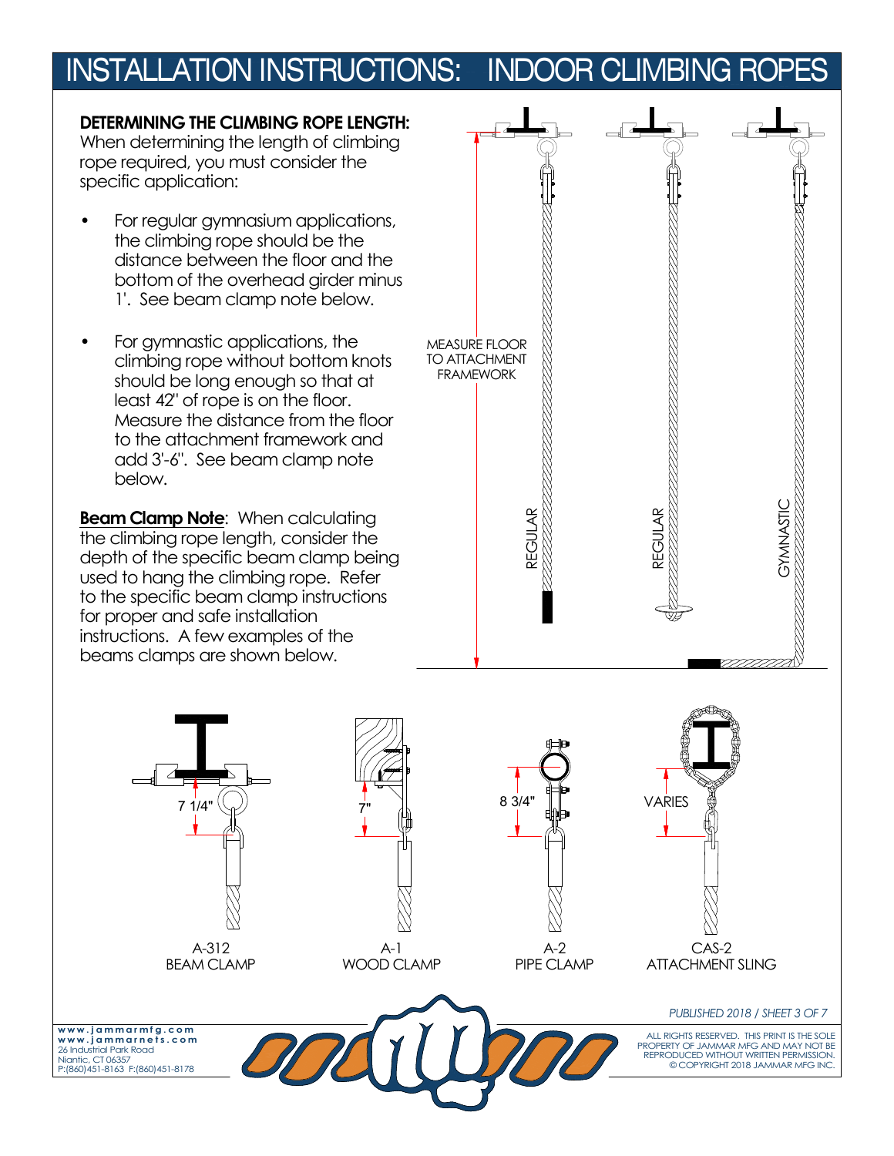**DETERMINING THE CLIMBING ROPE LENGTH:** When determining the length of climbing rope required, you must consider the specific application:

- For regular gymnasium applications, the climbing rope should be the distance between the floor and the bottom of the overhead girder minus 1'. See beam clamp note below.
- For gymnastic applications, the climbing rope without bottom knots should be long enough so that at least 42" of rope is on the floor. Measure the distance from the floor to the attachment framework and add 3'-6". See beam clamp note below.

**Beam Clamp Note**: When calculating the climbing rope length, consider the depth of the specific beam clamp being used to hang the climbing rope. Refer to the specific beam clamp instructions for proper and safe installation instructions. A few examples of the beams clamps are shown below.



ALL RIGHTS RESERVED. THIS PRINT IS THE SOLE PROPERTY OF JAMMAR MFG AND MAY NOT BE REPRODUCED WITHOUT WRITTEN PERMISSION. COPYRIGHT 2018 JAMMAR MFG INC. **w w w . j a m m a r m f g . c o m w w w . j a m m a r n e t s . c o m** 26 Industrial Park Road Niantic, CT 06357 P:(860)451-8163 F:(860)451-8178 *PUBLISHED 2018 / SHEET 3 OF 7* A-312 BEAM CLAMP A-1 WOOD CLAMP A-2 PIPE CLAMP CAS-2 ATTACHMENT SLING 7"  $7 \frac{1}{4}$   $7 \frac{1}{8}$  8 3/4"  $\frac{1}{4}$  VARIES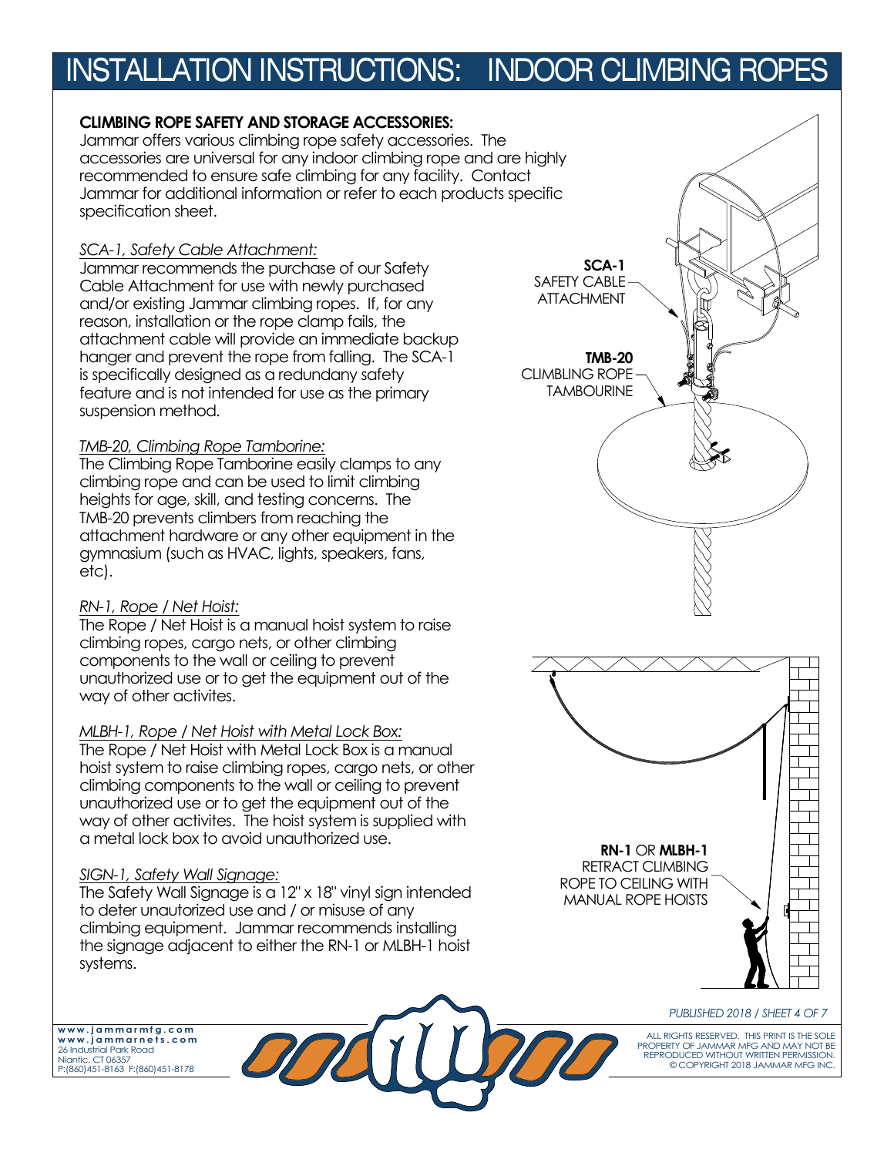#### **CLIMBING ROPE SAFETY AND STORAGE ACCESSORIES:**

Jammar offers various climbing rope safety accessories. The accessories are universal for any indoor climbing rope and are highly recommended to ensure safe climbing for any facility. Contact Jammar for additional information or refer to each products specific specification sheet.

#### *SCA-1, Safety Cable Attachment:*

Jammar recommends the purchase of our Safety Cable Attachment for use with newly purchased and/or existing Jammar climbing ropes. If, for any reason, installation or the rope clamp fails, the attachment cable will provide an immediate backup hanger and prevent the rope from falling. The SCA-1 is specifically designed as a redundany safety feature and is not intended for use as the primary suspension method.

#### *TMB-20, Climbing Rope Tamborine:*

The Climbing Rope Tamborine easily clamps to any climbing rope and can be used to limit climbing heights for age, skill, and testing concerns. The TMB-20 prevents climbers from reaching the attachment hardware or any other equipment in the gymnasium (such as HVAC, lights, speakers, fans, etc).

#### *RN-1, Rope / Net Hoist:*

The Rope / Net Hoist is a manual hoist system to raise climbing ropes, cargo nets, or other climbing components to the wall or ceiling to prevent unauthorized use or to get the equipment out of the way of other activites.

#### *MLBH-1, Rope / Net Hoist with Metal Lock Box:*

The Rope / Net Hoist with Metal Lock Box is a manual hoist system to raise climbing ropes, cargo nets, or other climbing components to the wall or ceiling to prevent unauthorized use or to get the equipment out of the way of other activites. The hoist system is supplied with a metal lock box to avoid unauthorized use.

#### *SIGN-1, Safety Wall Signage:*

The Safety Wall Signage is a 12" x 18" vinyl sign intended to deter unautorized use and / or misuse of any climbing equipment. Jammar recommends installing the signage adjacent to either the RN-1 or MLBH-1 hoist systems.

**w w w . j a m m a r m f g . c o m w w w . j a m m a r n e t s . c o m** 26 Industrial Park Road Niantic, CT 06357 P:(860)451-8163 F:(860)451-8178

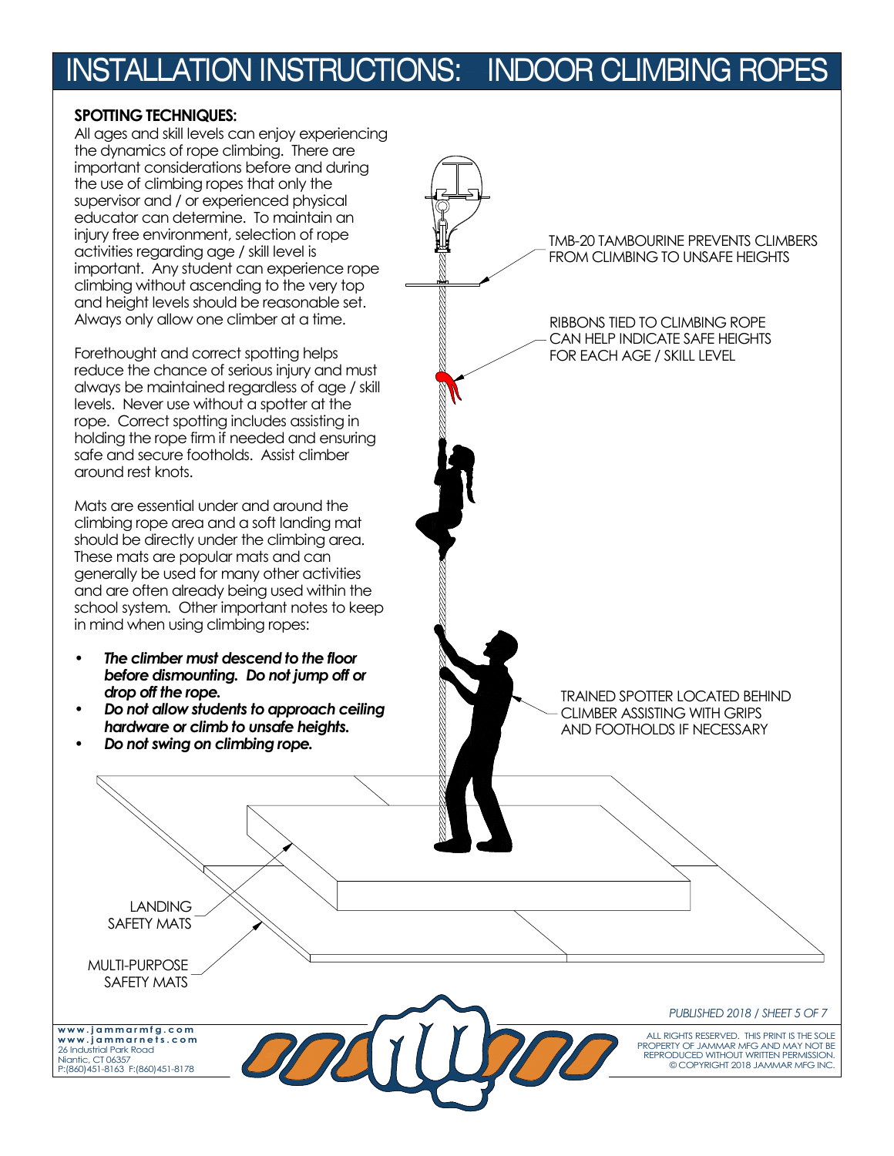#### **SPOTTING TECHNIQUES:**

All ages and skill levels can enjoy experiencing the dynamics of rope climbing. There are important considerations before and during the use of climbing ropes that only the supervisor and / or experienced physical educator can determine. To maintain an injury free environment, selection of rope activities regarding age / skill level is important. Any student can experience rope climbing without ascending to the very top and height levels should be reasonable set. Always only allow one climber at a time.

Forethought and correct spotting helps reduce the chance of serious injury and must always be maintained regardless of age / skill levels. Never use without a spotter at the rope. Correct spotting includes assisting in holding the rope firm if needed and ensuring safe and secure footholds. Assist climber around rest knots.

Mats are essential under and around the climbing rope area and a soft landing mat should be directly under the climbing area. These mats are popular mats and can generally be used for many other activities and are often already being used within the school system. Other important notes to keep in mind when using climbing ropes:

- *The climber must descend to the floor before dismounting. Do not jump off or drop off the rope.*
- *Do not allow students to approach ceiling hardware or climb to unsafe heights.*
- *Do not swing on climbing rope.*

TMB-20 TAMBOURINE PREVENTS CLIMBERS FROM CLIMBING TO UNSAFE HEIGHTS

#### RIBBONS TIED TO CLIMBING ROPE CAN HELP INDICATE SAFE HEIGHTS FOR EACH AGE / SKILL LEVEL

TRAINED SPOTTER LOCATED BEHIND CLIMBER ASSISTING WITH GRIPS AND FOOTHOLDS IF NECESSARY

### SAFETY MATS

LANDING

MULTI-PURPOSE SAFETY MATS

**w w w . j a m m a r m f g . c o m w w w . j a m m a r n e t s . c o m** 26 Industrial Park Road Niantic, CT 06357 P:(860)451-8163 F:(860)451-8178

*PUBLISHED 2018 / SHEET 5 OF 7*

ALL RIGHTS RESERVED. THIS PRINT IS THE SOLE PROPERTY OF JAMMAR MFG AND MAY NOT BE REPRODUCED WITHOUT WRITTEN PERMISSION. COPYRIGHT 2018 JAMMAR MFG INC.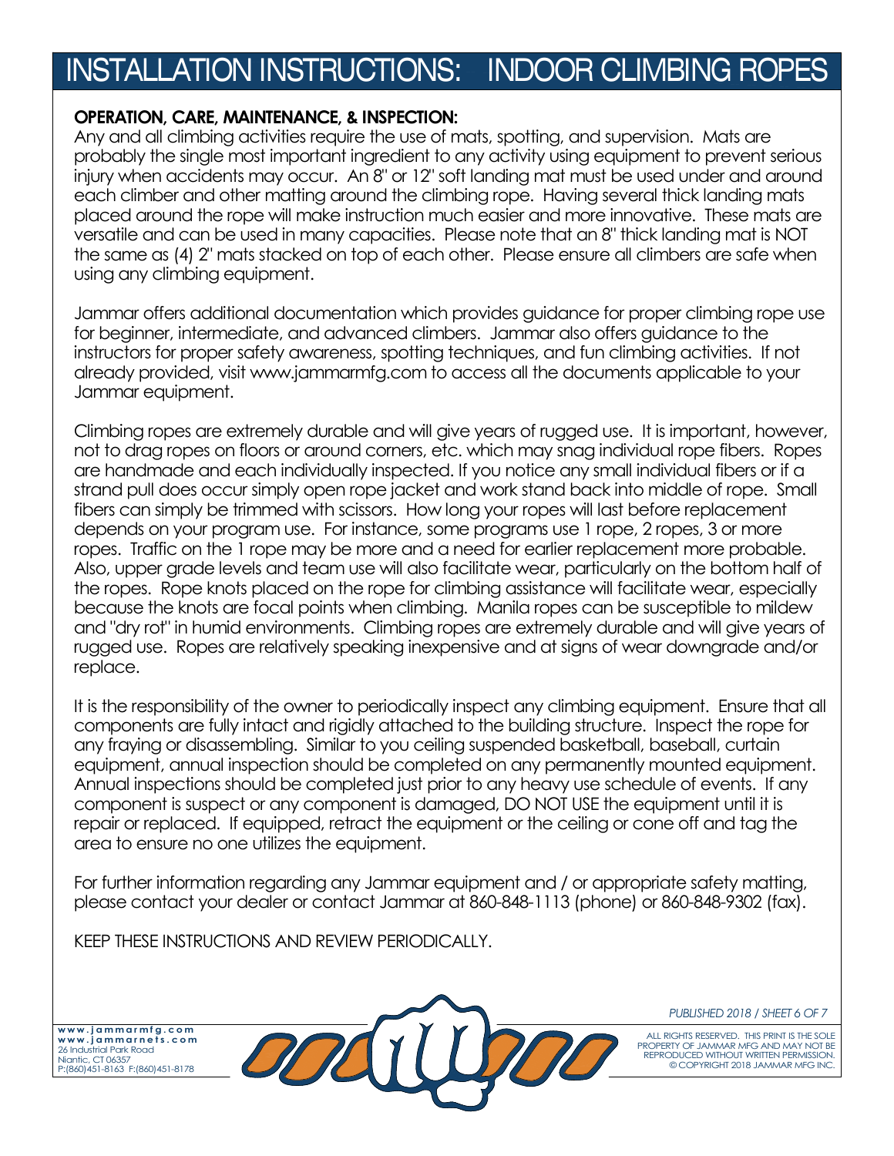#### **OPERATION, CARE, MAINTENANCE, & INSPECTION:**

Any and all climbing activities require the use of mats, spotting, and supervision. Mats are probably the single most important ingredient to any activity using equipment to prevent serious injury when accidents may occur. An 8" or 12" soft landing mat must be used under and around each climber and other matting around the climbing rope. Having several thick landing mats placed around the rope will make instruction much easier and more innovative. These mats are versatile and can be used in many capacities. Please note that an 8" thick landing mat is NOT the same as (4) 2" mats stacked on top of each other. Please ensure all climbers are safe when using any climbing equipment.

Jammar offers additional documentation which provides guidance for proper climbing rope use for beginner, intermediate, and advanced climbers. Jammar also offers guidance to the instructors for proper safety awareness, spotting techniques, and fun climbing activities. If not already provided, visit www.jammarmfg.com to access all the documents applicable to your Jammar equipment.

Climbing ropes are extremely durable and will give years of rugged use. It is important, however, not to drag ropes on floors or around corners, etc. which may snag individual rope fibers. Ropes are handmade and each individually inspected. If you notice any small individual fibers or if a strand pull does occur simply open rope jacket and work stand back into middle of rope. Small fibers can simply be trimmed with scissors. How long your ropes will last before replacement depends on your program use. For instance, some programs use 1 rope, 2 ropes, 3 or more ropes. Traffic on the 1 rope may be more and a need for earlier replacement more probable. Also, upper grade levels and team use will also facilitate wear, particularly on the bottom half of the ropes. Rope knots placed on the rope for climbing assistance will facilitate wear, especially because the knots are focal points when climbing. Manila ropes can be susceptible to mildew and "dry rot" in humid environments. Climbing ropes are extremely durable and will give years of rugged use. Ropes are relatively speaking inexpensive and at signs of wear downgrade and/or replace.

It is the responsibility of the owner to periodically inspect any climbing equipment. Ensure that all components are fully intact and rigidly attached to the building structure. Inspect the rope for any fraying or disassembling. Similar to you ceiling suspended basketball, baseball, curtain equipment, annual inspection should be completed on any permanently mounted equipment. Annual inspections should be completed just prior to any heavy use schedule of events. If any component is suspect or any component is damaged, DO NOT USE the equipment until it is repair or replaced. If equipped, retract the equipment or the ceiling or cone off and tag the area to ensure no one utilizes the equipment.

For further information regarding any Jammar equipment and / or appropriate safety matting, please contact your dealer or contact Jammar at 860-848-1113 (phone) or 860-848-9302 (fax).

KEEP THESE INSTRUCTIONS AND REVIEW PERIODICALLY.

**w w w . j a m m a r m f g . c o m w w w . j a m m a r n e t s . c o m** 26 Industrial Park Road Niantic, CT 06357 P:(860)451-8163 F:(860)451-8178



*PUBLISHED 2018 / SHEET 6 OF 7*

ALL RIGHTS RESERVED. THIS PRINT IS THE SOLE PROPERTY OF JAMMAR MFG AND MAY NOT BE REPRODUCED WITHOUT WRITTEN PERMISSION. COPYRIGHT 2018 JAMMAR MFG INC.